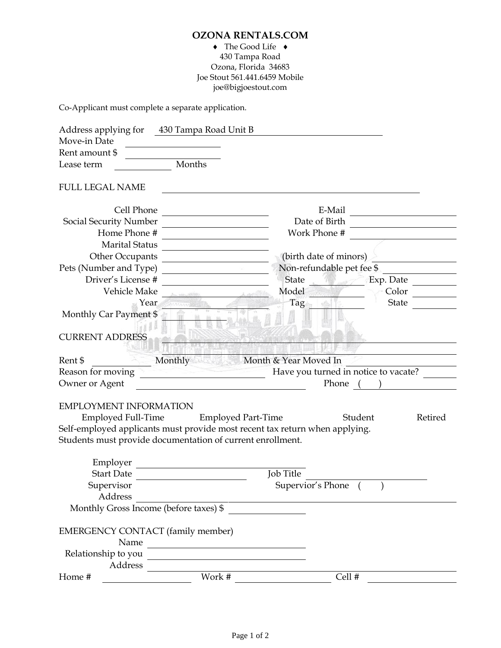## **OZONA RENTALS.COM**

## $\blacklozenge$  The Good Life  $\blacklozenge$ 430 Tampa Road Ozona, Florida 34683 Joe Stout 561.441.6459 Mobile joe@bigjoestout.com

Co-Applicant must complete a separate application.

| Address applying for                                      | 430 Tampa Road Unit B                                                                                                |                           |                    |  |
|-----------------------------------------------------------|----------------------------------------------------------------------------------------------------------------------|---------------------------|--------------------|--|
| Move-in Date                                              |                                                                                                                      |                           |                    |  |
| Rent amount \$                                            |                                                                                                                      |                           |                    |  |
| Lease term                                                | Months                                                                                                               |                           |                    |  |
| <b>FULL LEGAL NAME</b>                                    |                                                                                                                      |                           |                    |  |
| Cell Phone                                                |                                                                                                                      | E-Mail                    |                    |  |
| Social Security Number                                    |                                                                                                                      |                           | Date of Birth      |  |
| Home Phone #                                              |                                                                                                                      |                           | Work Phone #       |  |
| <b>Marital Status</b>                                     |                                                                                                                      |                           |                    |  |
| (birth date of minors)<br>Other Occupants                 |                                                                                                                      |                           |                    |  |
| Pets (Number and Type)                                    |                                                                                                                      | Non-refundable pet fee \$ |                    |  |
| Driver's License #                                        |                                                                                                                      | <b>State</b>              | Exp. Date          |  |
| Vehicle Make                                              |                                                                                                                      | Model                     | Color              |  |
| Year                                                      |                                                                                                                      | Tag                       | State              |  |
| Monthly Car Payment \$                                    |                                                                                                                      |                           |                    |  |
|                                                           |                                                                                                                      |                           |                    |  |
| <b>CURRENT ADDRESS</b>                                    |                                                                                                                      |                           |                    |  |
|                                                           |                                                                                                                      |                           |                    |  |
| Rent \$                                                   | Monthly                                                                                                              | Month & Year Moved In     |                    |  |
| Have you turned in notice to vacate?<br>Reason for moving |                                                                                                                      |                           |                    |  |
| Owner or Agent                                            |                                                                                                                      | Phone                     |                    |  |
| <b>EMPLOYMENT INFORMATION</b>                             |                                                                                                                      |                           |                    |  |
| <b>Employed Full-Time</b>                                 | <b>Employed Part-Time</b>                                                                                            |                           | Student<br>Retired |  |
|                                                           | Self-employed applicants must provide most recent tax return when applying.                                          |                           |                    |  |
|                                                           | Students must provide documentation of current enrollment.                                                           |                           |                    |  |
|                                                           |                                                                                                                      |                           |                    |  |
| Employer                                                  |                                                                                                                      |                           |                    |  |
| <b>Start Date</b>                                         |                                                                                                                      | Job Title                 |                    |  |
| Supervisor                                                | Supervior's Phone                                                                                                    |                           |                    |  |
| Address                                                   |                                                                                                                      |                           |                    |  |
|                                                           | Monthly Gross Income (before taxes) \$                                                                               |                           |                    |  |
| EMERGENCY CONTACT (family member)                         |                                                                                                                      |                           |                    |  |
| Name                                                      | <u> 1950 - Jan Stein Stein Stein Stein Stein Stein Stein Stein Stein Stein Stein Stein Stein Stein Stein Stein S</u> |                           |                    |  |
| Relationship to you                                       |                                                                                                                      |                           |                    |  |
| Address                                                   |                                                                                                                      |                           |                    |  |
| Home #                                                    | Work #                                                                                                               |                           | Cell #             |  |